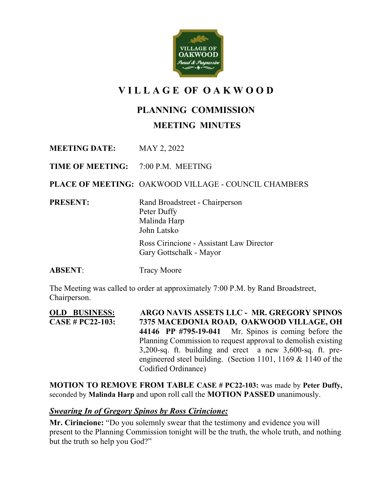

# **V I L L A G E OF O A K W O O D**

## **PLANNING COMMISSION**

**MEETING MINUTES**

**MEETING DATE:** MAY 2, 2022

**TIME OF MEETING:** 7:00 P.M. MEETING

**PLACE OF MEETING:** OAKWOOD VILLAGE - COUNCIL CHAMBERS

**PRESENT:** Rand Broadstreet - Chairperson Peter Duffy Malinda Harp John Latsko

> Ross Cirincione - Assistant Law Director Gary Gottschalk - Mayor

**ABSENT:** Tracy Moore

The Meeting was called to order at approximately 7:00 P.M. by Rand Broadstreet, Chairperson.

**OLD BUSINESS: ARGO NAVIS ASSETS LLC - MR. GREGORY SPINOS CASE # PC22-103: 7375 MACEDONIA ROAD, OAKWOOD VILLAGE, OH 44146 PP #795-19-041** Mr. Spinos is coming before the Planning Commission to request approval to demolish existing 3,200-sq. ft. building and erect a new 3,600-sq. ft. preengineered steel building. (Section 1101, 1169 & 1140 of the Codified Ordinance)

**MOTION TO REMOVE FROM TABLE CASE # PC22-103:** was made by **Peter Duffy,**  seconded by **Malinda Harp** and upon roll call the **MOTION PASSED** unanimously.

#### *Swearing In of Gregory Spinos by Ross Cirincione:*

**Mr. Cirincione:** "Do you solemnly swear that the testimony and evidence you will present to the Planning Commission tonight will be the truth, the whole truth, and nothing but the truth so help you God?"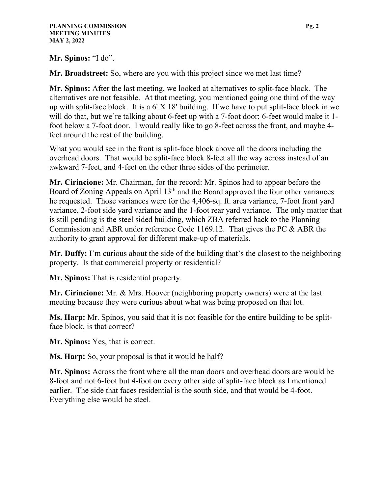**Mr. Spinos:** "I do".

**Mr. Broadstreet:** So, where are you with this project since we met last time?

**Mr. Spinos:** After the last meeting, we looked at alternatives to split-face block. The alternatives are not feasible. At that meeting, you mentioned going one third of the way up with split-face block. It is a  $6'$  X 18' building. If we have to put split-face block in we will do that, but we're talking about 6-feet up with a 7-foot door; 6-feet would make it 1foot below a 7-foot door. I would really like to go 8-feet across the front, and maybe 4 feet around the rest of the building.

What you would see in the front is split-face block above all the doors including the overhead doors. That would be split-face block 8-feet all the way across instead of an awkward 7-feet, and 4-feet on the other three sides of the perimeter.

**Mr. Cirincione:** Mr. Chairman, for the record: Mr. Spinos had to appear before the Board of Zoning Appeals on April  $13<sup>th</sup>$  and the Board approved the four other variances he requested. Those variances were for the 4,406-sq. ft. area variance, 7-foot front yard variance, 2-foot side yard variance and the 1-foot rear yard variance. The only matter that is still pending is the steel sided building, which ZBA referred back to the Planning Commission and ABR under reference Code 1169.12. That gives the PC & ABR the authority to grant approval for different make-up of materials.

**Mr. Duffy:** I'm curious about the side of the building that's the closest to the neighboring property. Is that commercial property or residential?

**Mr. Spinos:** That is residential property.

**Mr. Cirincione:** Mr. & Mrs. Hoover (neighboring property owners) were at the last meeting because they were curious about what was being proposed on that lot.

**Ms. Harp:** Mr. Spinos, you said that it is not feasible for the entire building to be splitface block, is that correct?

**Mr. Spinos:** Yes, that is correct.

**Ms. Harp:** So, your proposal is that it would be half?

**Mr. Spinos:** Across the front where all the man doors and overhead doors are would be 8-foot and not 6-foot but 4-foot on every other side of split-face block as I mentioned earlier. The side that faces residential is the south side, and that would be 4-foot. Everything else would be steel.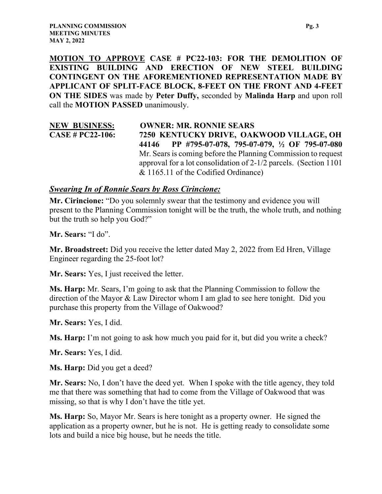**MOTION TO APPROVE CASE # PC22-103: FOR THE DEMOLITION OF EXISTING BUILDING AND ERECTION OF NEW STEEL BUILDING CONTINGENT ON THE AFOREMENTIONED REPRESENTATION MADE BY APPLICANT OF SPLIT-FACE BLOCK, 8-FEET ON THE FRONT AND 4-FEET ON THE SIDES** was made by **Peter Duffy,** seconded by **Malinda Harp** and upon roll call the **MOTION PASSED** unanimously.

#### **NEW BUSINESS: OWNER: MR. RONNIE SEARS CASE # PC22-106: 7250 KENTUCKY DRIVE, OAKWOOD VILLAGE, OH 44146 PP #795-07-078, 795-07-079, ½ OF 795-07-080**  Mr. Sears is coming before the Planning Commission to request approval for a lot consolidation of 2-1/2 parcels. (Section 1101 & 1165.11 of the Codified Ordinance)

#### *Swearing In of Ronnie Sears by Ross Cirincione:*

**Mr. Cirincione:** "Do you solemnly swear that the testimony and evidence you will present to the Planning Commission tonight will be the truth, the whole truth, and nothing but the truth so help you God?"

**Mr. Sears:** "I do".

**Mr. Broadstreet:** Did you receive the letter dated May 2, 2022 from Ed Hren, Village Engineer regarding the 25-foot lot?

**Mr. Sears:** Yes, I just received the letter.

**Ms. Harp:** Mr. Sears, I'm going to ask that the Planning Commission to follow the direction of the Mayor & Law Director whom I am glad to see here tonight. Did you purchase this property from the Village of Oakwood?

**Mr. Sears:** Yes, I did.

**Ms. Harp:** I'm not going to ask how much you paid for it, but did you write a check?

**Mr. Sears:** Yes, I did.

**Ms. Harp:** Did you get a deed?

**Mr. Sears:** No, I don't have the deed yet. When I spoke with the title agency, they told me that there was something that had to come from the Village of Oakwood that was missing, so that is why I don't have the title yet.

**Ms. Harp:** So, Mayor Mr. Sears is here tonight as a property owner. He signed the application as a property owner, but he is not. He is getting ready to consolidate some lots and build a nice big house, but he needs the title.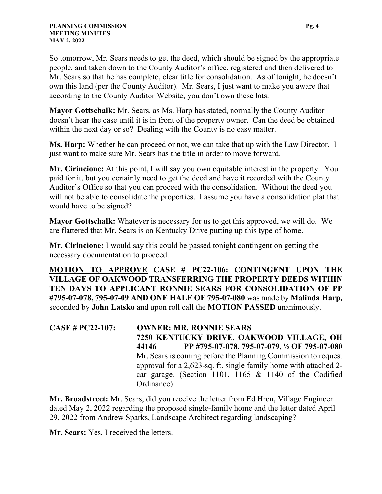So tomorrow, Mr. Sears needs to get the deed, which should be signed by the appropriate people, and taken down to the County Auditor's office, registered and then delivered to Mr. Sears so that he has complete, clear title for consolidation. As of tonight, he doesn't own this land (per the County Auditor). Mr. Sears, I just want to make you aware that according to the County Auditor Website, you don't own these lots.

**Mayor Gottschalk:** Mr. Sears, as Ms. Harp has stated, normally the County Auditor doesn't hear the case until it is in front of the property owner. Can the deed be obtained within the next day or so? Dealing with the County is no easy matter.

**Ms. Harp:** Whether he can proceed or not, we can take that up with the Law Director. I just want to make sure Mr. Sears has the title in order to move forward.

**Mr. Cirincione:** At this point, I will say you own equitable interest in the property. You paid for it, but you certainly need to get the deed and have it recorded with the County Auditor's Office so that you can proceed with the consolidation. Without the deed you will not be able to consolidate the properties. I assume you have a consolidation plat that would have to be signed?

**Mayor Gottschalk:** Whatever is necessary for us to get this approved, we will do. We are flattered that Mr. Sears is on Kentucky Drive putting up this type of home.

**Mr. Cirincione:** I would say this could be passed tonight contingent on getting the necessary documentation to proceed.

**MOTION TO APPROVE CASE # PC22-106: CONTINGENT UPON THE VILLAGE OF OAKWOOD TRANSFERRING THE PROPERTY DEEDS WITHIN TEN DAYS TO APPLICANT RONNIE SEARS FOR CONSOLIDATION OF PP #795-07-078, 795-07-09 AND ONE HALF OF 795-07-080** was made by **Malinda Harp,**  seconded by **John Latsko** and upon roll call the **MOTION PASSED** unanimously.

**CASE # PC22-107: OWNER: MR. RONNIE SEARS 7250 KENTUCKY DRIVE, OAKWOOD VILLAGE, OH 44146 PP #795-07-078, 795-07-079, ½ OF 795-07-080**  Mr. Sears is coming before the Planning Commission to request approval for a 2,623-sq. ft. single family home with attached 2 car garage. (Section 1101, 1165 & 1140 of the Codified Ordinance)

**Mr. Broadstreet:** Mr. Sears, did you receive the letter from Ed Hren, Village Engineer dated May 2, 2022 regarding the proposed single-family home and the letter dated April 29, 2022 from Andrew Sparks, Landscape Architect regarding landscaping?

**Mr. Sears:** Yes, I received the letters.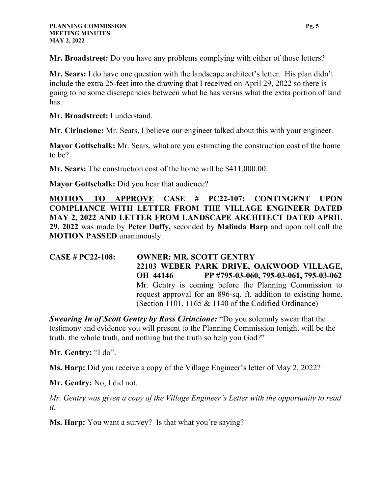**Mr. Broadstreet:** Do you have any problems complying with either of those letters?

**Mr. Sears:** I do have one question with the landscape architect's letter. His plan didn't include the extra 25-feet into the drawing that I received on April 29, 2022 so there is going to be some discrepancies between what he has versus what the extra portion of land has.

**Mr. Broadstreet:** I understand.

**Mr. Cirincione:** Mr. Sears, I believe our engineer talked about this with your engineer.

**Mayor Gottschalk:** Mr. Sears, what are you estimating the construction cost of the home to be?

**Mr. Sears:** The construction cost of the home will be \$411,000.00.

**Mayor Gottschalk:** Did you hear that audience?

**MOTION TO APPROVE CASE # PC22-107: CONTINGENT UPON COMPLIANCE WITH LETTER FROM THE VILLAGE ENGINEER DATED MAY 2, 2022 AND LETTER FROM LANDSCAPE ARCHITECT DATED APRIL 29, 2022** was made by **Peter Duffy,** seconded by **Malinda Harp** and upon roll call the **MOTION PASSED** unanimously.

**CASE # PC22-108: OWNER: MR. SCOTT GENTRY 22103 WEBER PARK DRIVE, OAKWOOD VILLAGE, OH 44146 PP #795-03-060, 795-03-061, 795-03-062**  Mr. Gentry is coming before the Planning Commission to request approval for an 896-sq. ft. addition to existing home. (Section 1101, 1165 & 1140 of the Codified Ordinance)

*Swearing In of Scott Gentry by Ross Cirincione:* "Do you solemnly swear that the testimony and evidence you will present to the Planning Commission tonight will be the truth, the whole truth, and nothing but the truth so help you God?"

**Mr. Gentry:** "I do".

**Ms. Harp:** Did you receive a copy of the Village Engineer's letter of May 2, 2022?

**Mr. Gentry:** No, I did not.

*Mr. Gentry was given a copy of the Village Engineer's Letter with the opportunity to read it.* 

**Ms. Harp:** You want a survey? Is that what you're saying?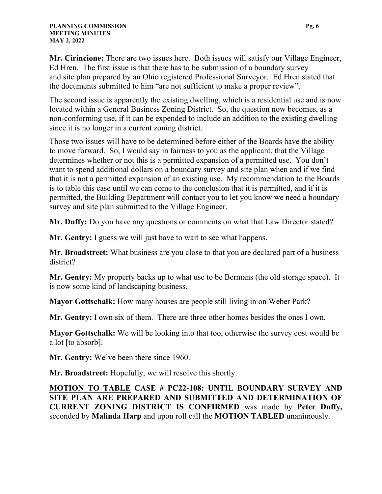**Mr. Cirincione:** There are two issues here. Both issues will satisfy our Village Engineer, Ed Hren. The first issue is that there has to be submission of a boundary survey and site plan prepared by an Ohio registered Professional Surveyor. Ed Hren stated that the documents submitted to him "are not sufficient to make a proper review".

The second issue is apparently the existing dwelling, which is a residential use and is now located within a General Business Zoning District. So, the question now becomes, as a non-conforming use, if it can be expended to include an addition to the existing dwelling since it is no longer in a current zoning district.

Those two issues will have to be determined before either of the Boards have the ability to move forward. So, I would say in fairness to you as the applicant, that the Village determines whether or not this is a permitted expansion of a permitted use. You don't want to spend additional dollars on a boundary survey and site plan when and if we find that it is not a permitted expansion of an existing use. My recommendation to the Boards is to table this case until we can come to the conclusion that it is permitted, and if it is permitted, the Building Department will contact you to let you know we need a boundary survey and site plan submitted to the Village Engineer.

**Mr. Duffy:** Do you have any questions or comments on what that Law Director stated?

**Mr. Gentry:** I guess we will just have to wait to see what happens.

**Mr. Broadstreet:** What business are you close to that you are declared part of a business district?

**Mr. Gentry:** My property backs up to what use to be Bermans (the old storage space). It is now some kind of landscaping business.

**Mayor Gottschalk:** How many houses are people still living in on Weber Park?

**Mr. Gentry:** I own six of them. There are three other homes besides the ones I own.

**Mayor Gottschalk:** We will be looking into that too, otherwise the survey cost would be a lot [to absorb].

**Mr. Gentry:** We've been there since 1960.

**Mr. Broadstreet:** Hopefully, we will resolve this shortly.

**MOTION TO TABLE CASE # PC22-108: UNTIL BOUNDARY SURVEY AND SITE PLAN ARE PREPARED AND SUBMITTED AND DETERMINATION OF CURRENT ZONING DISTRICT IS CONFIRMED** was made by **Peter Duffy,**  seconded by **Malinda Harp** and upon roll call the **MOTION TABLED** unanimously.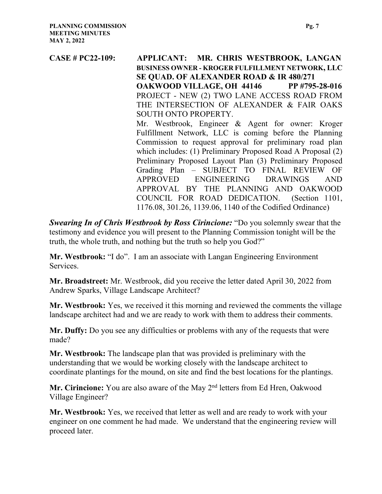**CASE # PC22-109: APPLICANT: MR. CHRIS WESTBROOK, LANGAN BUSINESS OWNER - KROGER FULFILLMENT NETWORK, LLC SE QUAD. OF ALEXANDER ROAD & IR 480/271 OAKWOOD VILLAGE, OH 44146 PP #795-28-016**  PROJECT - NEW (2) TWO LANE ACCESS ROAD FROM THE INTERSECTION OF ALEXANDER & FAIR OAKS SOUTH ONTO PROPERTY. Mr. Westbrook, Engineer & Agent for owner: Kroger Fulfillment Network, LLC is coming before the Planning Commission to request approval for preliminary road plan which includes: (1) Preliminary Proposed Road A Proposal (2) Preliminary Proposed Layout Plan (3) Preliminary Proposed Grading Plan – SUBJECT TO FINAL REVIEW OF APPROVED ENGINEERING DRAWINGS AND APPROVAL BY THE PLANNING AND OAKWOOD COUNCIL FOR ROAD DEDICATION. (Section 1101, 1176.08, 301.26, 1139.06, 1140 of the Codified Ordinance)

*Swearing In of Chris Westbrook by Ross Cirincione:* "Do you solemnly swear that the testimony and evidence you will present to the Planning Commission tonight will be the truth, the whole truth, and nothing but the truth so help you God?"

**Mr. Westbrook:** "I do". I am an associate with Langan Engineering Environment Services.

**Mr. Broadstreet:** Mr. Westbrook, did you receive the letter dated April 30, 2022 from Andrew Sparks, Village Landscape Architect?

**Mr. Westbrook:** Yes, we received it this morning and reviewed the comments the village landscape architect had and we are ready to work with them to address their comments.

**Mr. Duffy:** Do you see any difficulties or problems with any of the requests that were made?

**Mr. Westbrook:** The landscape plan that was provided is preliminary with the understanding that we would be working closely with the landscape architect to coordinate plantings for the mound, on site and find the best locations for the plantings.

Mr. Cirincione: You are also aware of the May 2<sup>nd</sup> letters from Ed Hren, Oakwood Village Engineer?

**Mr. Westbrook:** Yes, we received that letter as well and are ready to work with your engineer on one comment he had made. We understand that the engineering review will proceed later.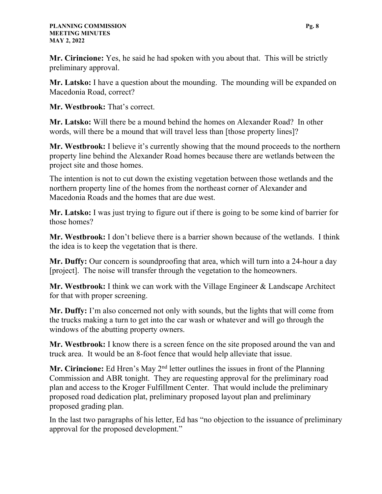**Mr. Cirincione:** Yes, he said he had spoken with you about that. This will be strictly preliminary approval.

**Mr. Latsko:** I have a question about the mounding. The mounding will be expanded on Macedonia Road, correct?

**Mr. Westbrook:** That's correct.

**Mr. Latsko:** Will there be a mound behind the homes on Alexander Road? In other words, will there be a mound that will travel less than [those property lines]?

**Mr. Westbrook:** I believe it's currently showing that the mound proceeds to the northern property line behind the Alexander Road homes because there are wetlands between the project site and those homes.

The intention is not to cut down the existing vegetation between those wetlands and the northern property line of the homes from the northeast corner of Alexander and Macedonia Roads and the homes that are due west.

**Mr. Latsko:** I was just trying to figure out if there is going to be some kind of barrier for those homes?

**Mr. Westbrook:** I don't believe there is a barrier shown because of the wetlands. I think the idea is to keep the vegetation that is there.

**Mr. Duffy:** Our concern is soundproofing that area, which will turn into a 24-hour a day [project]. The noise will transfer through the vegetation to the homeowners.

**Mr. Westbrook:** I think we can work with the Village Engineer & Landscape Architect for that with proper screening.

**Mr. Duffy:** I'm also concerned not only with sounds, but the lights that will come from the trucks making a turn to get into the car wash or whatever and will go through the windows of the abutting property owners.

**Mr. Westbrook:** I know there is a screen fence on the site proposed around the van and truck area. It would be an 8-foot fence that would help alleviate that issue.

Mr. Cirincione: Ed Hren's May 2<sup>nd</sup> letter outlines the issues in front of the Planning Commission and ABR tonight. They are requesting approval for the preliminary road plan and access to the Kroger Fulfillment Center. That would include the preliminary proposed road dedication plat, preliminary proposed layout plan and preliminary proposed grading plan.

In the last two paragraphs of his letter, Ed has "no objection to the issuance of preliminary approval for the proposed development."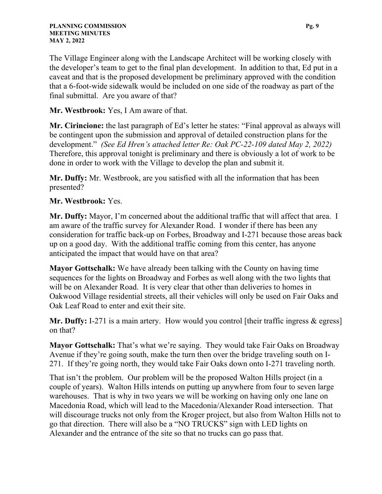The Village Engineer along with the Landscape Architect will be working closely with the developer's team to get to the final plan development. In addition to that, Ed put in a caveat and that is the proposed development be preliminary approved with the condition that a 6-foot-wide sidewalk would be included on one side of the roadway as part of the final submittal. Are you aware of that?

**Mr. Westbrook:** Yes, I Am aware of that.

**Mr. Cirincione:** the last paragraph of Ed's letter he states: "Final approval as always will be contingent upon the submission and approval of detailed construction plans for the development." *(See Ed Hren's attached letter Re: Oak PC-22-109 dated May 2, 2022)* Therefore, this approval tonight is preliminary and there is obviously a lot of work to be done in order to work with the Village to develop the plan and submit it.

**Mr. Duffy:** Mr. Westbrook, are you satisfied with all the information that has been presented?

#### **Mr. Westbrook:** Yes.

**Mr. Duffy:** Mayor, I'm concerned about the additional traffic that will affect that area. I am aware of the traffic survey for Alexander Road. I wonder if there has been any consideration for traffic back-up on Forbes, Broadway and I-271 because those areas back up on a good day. With the additional traffic coming from this center, has anyone anticipated the impact that would have on that area?

**Mayor Gottschalk:** We have already been talking with the County on having time sequences for the lights on Broadway and Forbes as well along with the two lights that will be on Alexander Road. It is very clear that other than deliveries to homes in Oakwood Village residential streets, all their vehicles will only be used on Fair Oaks and Oak Leaf Road to enter and exit their site.

Mr. Duffy: I-271 is a main artery. How would you control [their traffic ingress & egress] on that?

**Mayor Gottschalk:** That's what we're saying. They would take Fair Oaks on Broadway Avenue if they're going south, make the turn then over the bridge traveling south on I-271. If they're going north, they would take Fair Oaks down onto I-271 traveling north.

That isn't the problem. Our problem will be the proposed Walton Hills project (in a couple of years). Walton Hills intends on putting up anywhere from four to seven large warehouses. That is why in two years we will be working on having only one lane on Macedonia Road, which will lead to the Macedonia/Alexander Road intersection. That will discourage trucks not only from the Kroger project, but also from Walton Hills not to go that direction. There will also be a "NO TRUCKS" sign with LED lights on Alexander and the entrance of the site so that no trucks can go pass that.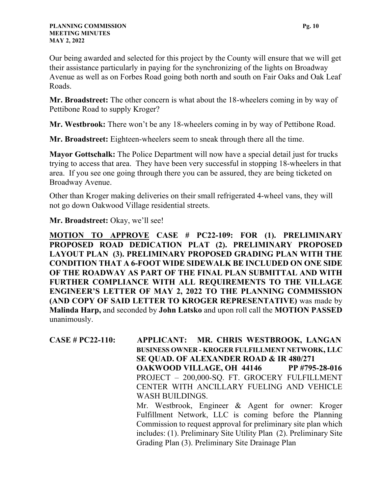Our being awarded and selected for this project by the County will ensure that we will get their assistance particularly in paying for the synchronizing of the lights on Broadway Avenue as well as on Forbes Road going both north and south on Fair Oaks and Oak Leaf Roads.

**Mr. Broadstreet:** The other concern is what about the 18-wheelers coming in by way of Pettibone Road to supply Kroger?

**Mr. Westbrook:** There won't be any 18-wheelers coming in by way of Pettibone Road.

**Mr. Broadstreet:** Eighteen-wheelers seem to sneak through there all the time.

**Mayor Gottschalk:** The Police Department will now have a special detail just for trucks trying to access that area. They have been very successful in stopping 18-wheelers in that area. If you see one going through there you can be assured, they are being ticketed on Broadway Avenue.

Other than Kroger making deliveries on their small refrigerated 4-wheel vans, they will not go down Oakwood Village residential streets.

#### **Mr. Broadstreet:** Okay, we'll see!

**MOTION TO APPROVE CASE # PC22-109: FOR (1). PRELIMINARY PROPOSED ROAD DEDICATION PLAT (2). PRELIMINARY PROPOSED LAYOUT PLAN (3). PRELIMINARY PROPOSED GRADING PLAN WITH THE CONDITION THAT A 6-FOOT WIDE SIDEWALK BE INCLUDED ON ONE SIDE OF THE ROADWAY AS PART OF THE FINAL PLAN SUBMITTAL AND WITH FURTHER COMPLIANCE WITH ALL REQUIREMENTS TO THE VILLAGE ENGINEER'S LETTER OF MAY 2, 2022 TO THE PLANNING COMMISSION (AND COPY OF SAID LETTER TO KROGER REPRESENTATIVE)** was made by **Malinda Harp,** and seconded by **John Latsko** and upon roll call the **MOTION PASSED**  unanimously.

**CASE # PC22-110: APPLICANT: MR. CHRIS WESTBROOK, LANGAN BUSINESS OWNER - KROGER FULFILLMENT NETWORK, LLC SE QUAD. OF ALEXANDER ROAD & IR 480/271 OAKWOOD VILLAGE, OH 44146 PP #795-28-016**  PROJECT – 200,000-SQ. FT. GROCERY FULFILLMENT CENTER WITH ANCILLARY FUELING AND VEHICLE WASH BUILDINGS. Mr. Westbrook, Engineer & Agent for owner: Kroger Fulfillment Network, LLC is coming before the Planning Commission to request approval for preliminary site plan which includes: (1). Preliminary Site Utility Plan (2). Preliminary Site

Grading Plan (3). Preliminary Site Drainage Plan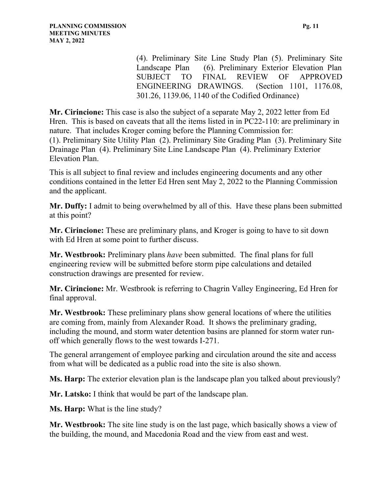(4). Preliminary Site Line Study Plan (5). Preliminary Site Landscape Plan (6). Preliminary Exterior Elevation Plan SUBJECT TO FINAL REVIEW OF APPROVED ENGINEERING DRAWINGS. (Section 1101, 1176.08, 301.26, 1139.06, 1140 of the Codified Ordinance)

**Mr. Cirincione:** This case is also the subject of a separate May 2, 2022 letter from Ed Hren. This is based on caveats that all the items listed in in PC22-110: are preliminary in nature. That includes Kroger coming before the Planning Commission for: (1). Preliminary Site Utility Plan (2). Preliminary Site Grading Plan (3). Preliminary Site Drainage Plan (4). Preliminary Site Line Landscape Plan (4). Preliminary Exterior Elevation Plan.

This is all subject to final review and includes engineering documents and any other conditions contained in the letter Ed Hren sent May 2, 2022 to the Planning Commission and the applicant.

**Mr. Duffy:** I admit to being overwhelmed by all of this. Have these plans been submitted at this point?

**Mr. Cirincione:** These are preliminary plans, and Kroger is going to have to sit down with Ed Hren at some point to further discuss.

**Mr. Westbrook:** Preliminary plans *have* been submitted. The final plans for full engineering review will be submitted before storm pipe calculations and detailed construction drawings are presented for review.

**Mr. Cirincione:** Mr. Westbrook is referring to Chagrin Valley Engineering, Ed Hren for final approval.

**Mr. Westbrook:** These preliminary plans show general locations of where the utilities are coming from, mainly from Alexander Road. It shows the preliminary grading, including the mound, and storm water detention basins are planned for storm water runoff which generally flows to the west towards I-271.

The general arrangement of employee parking and circulation around the site and access from what will be dedicated as a public road into the site is also shown.

**Ms. Harp:** The exterior elevation plan is the landscape plan you talked about previously?

**Mr. Latsko:** I think that would be part of the landscape plan.

**Ms. Harp:** What is the line study?

**Mr. Westbrook:** The site line study is on the last page, which basically shows a view of the building, the mound, and Macedonia Road and the view from east and west.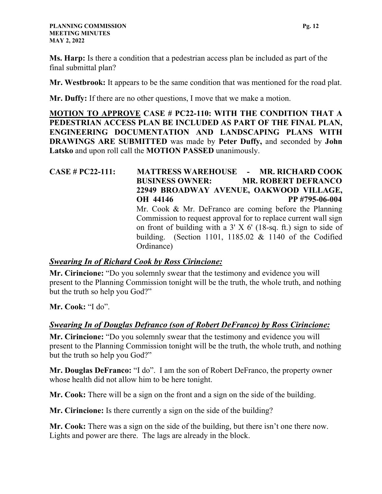**Ms. Harp:** Is there a condition that a pedestrian access plan be included as part of the final submittal plan?

**Mr. Westbrook:** It appears to be the same condition that was mentioned for the road plat.

**Mr. Duffy:** If there are no other questions, I move that we make a motion.

**MOTION TO APPROVE CASE # PC22-110: WITH THE CONDITION THAT A PEDESTRIAN ACCESS PLAN BE INCLUDED AS PART OF THE FINAL PLAN, ENGINEERING DOCUMENTATION AND LANDSCAPING PLANS WITH DRAWINGS ARE SUBMITTED** was made by **Peter Duffy,** and seconded by **John Latsko** and upon roll call the **MOTION PASSED** unanimously.

**CASE # PC22-111: MATTRESS WAREHOUSE - MR. RICHARD COOK BUSINESS OWNER: MR. ROBERT DEFRANCO 22949 BROADWAY AVENUE, OAKWOOD VILLAGE, OH 44146 PP #795-06-004**  Mr. Cook & Mr. DeFranco are coming before the Planning Commission to request approval for to replace current wall sign on front of building with a  $3'$  X 6' (18-sq. ft.) sign to side of building. (Section 1101, 1185.02 & 1140 of the Codified Ordinance)

#### *Swearing In of Richard Cook by Ross Cirincione:*

**Mr. Cirincione:** "Do you solemnly swear that the testimony and evidence you will present to the Planning Commission tonight will be the truth, the whole truth, and nothing but the truth so help you God?"

**Mr. Cook:** "I do".

## *Swearing In of Douglas Defranco (son of Robert DeFranco) by Ross Cirincione:*

**Mr. Cirincione:** "Do you solemnly swear that the testimony and evidence you will present to the Planning Commission tonight will be the truth, the whole truth, and nothing but the truth so help you God?"

**Mr. Douglas DeFranco:** "I do". I am the son of Robert DeFranco, the property owner whose health did not allow him to be here tonight.

**Mr. Cook:** There will be a sign on the front and a sign on the side of the building.

**Mr. Cirincione:** Is there currently a sign on the side of the building?

**Mr. Cook:** There was a sign on the side of the building, but there isn't one there now. Lights and power are there. The lags are already in the block.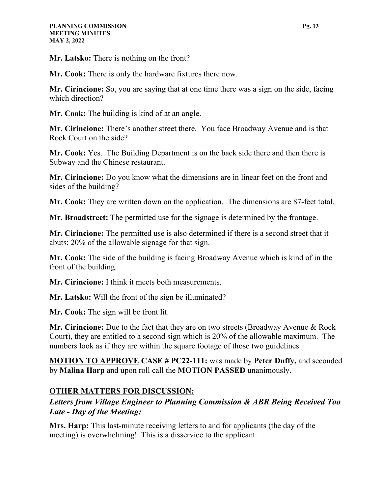**Mr. Latsko:** There is nothing on the front?

**Mr. Cook:** There is only the hardware fixtures there now.

**Mr. Cirincione:** So, you are saying that at one time there was a sign on the side, facing which direction?

**Mr. Cook:** The building is kind of at an angle.

**Mr. Cirincione:** There's another street there. You face Broadway Avenue and is that Rock Court on the side?

**Mr. Cook:** Yes. The Building Department is on the back side there and then there is Subway and the Chinese restaurant.

**Mr. Cirincione:** Do you know what the dimensions are in linear feet on the front and sides of the building?

**Mr. Cook:** They are written down on the application. The dimensions are 87-feet total.

**Mr. Broadstreet:** The permitted use for the signage is determined by the frontage.

**Mr. Cirincione:** The permitted use is also determined if there is a second street that it abuts; 20% of the allowable signage for that sign.

**Mr. Cook:** The side of the building is facing Broadway Avenue which is kind of in the front of the building.

**Mr. Cirincione:** I think it meets both measurements.

**Mr. Latsko:** Will the front of the sign be illuminated?

**Mr. Cook:** The sign will be front lit.

**Mr. Cirincione:** Due to the fact that they are on two streets (Broadway Avenue & Rock Court), they are entitled to a second sign which is 20% of the allowable maximum. The numbers look as if they are within the square footage of those two guidelines.

**MOTION TO APPROVE CASE # PC22-111:** was made by **Peter Duffy,** and seconded by **Malina Harp** and upon roll call the **MOTION PASSED** unanimously.

## **OTHER MATTERS FOR DISCUSSION:**

## *Letters from Village Engineer to Planning Commission & ABR Being Received Too Late - Day of the Meeting:*

**Mrs. Harp:** This last-minute receiving letters to and for applicants (the day of the meeting) is overwhelming! This is a disservice to the applicant.